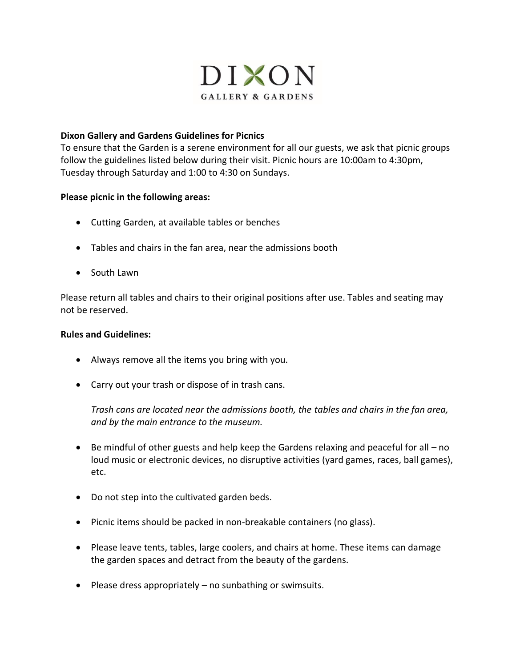

## **Dixon Gallery and Gardens Guidelines for Picnics**

To ensure that the Garden is a serene environment for all our guests, we ask that picnic groups follow the guidelines listed below during their visit. Picnic hours are 10:00am to 4:30pm, Tuesday through Saturday and 1:00 to 4:30 on Sundays.

## **Please picnic in the following areas:**

- Cutting Garden, at available tables or benches
- Tables and chairs in the fan area, near the admissions booth
- South Lawn

Please return all tables and chairs to their original positions after use. Tables and seating may not be reserved.

## **Rules and Guidelines:**

- Always remove all the items you bring with you.
- Carry out your trash or dispose of in trash cans.

*Trash cans are located near the admissions booth, the tables and chairs in the fan area, and by the main entrance to the museum.*

- Be mindful of other guests and help keep the Gardens relaxing and peaceful for all no loud music or electronic devices, no disruptive activities (yard games, races, ball games), etc.
- Do not step into the cultivated garden beds.
- Picnic items should be packed in non-breakable containers (no glass).
- Please leave tents, tables, large coolers, and chairs at home. These items can damage the garden spaces and detract from the beauty of the gardens.
- Please dress appropriately no sunbathing or swimsuits.